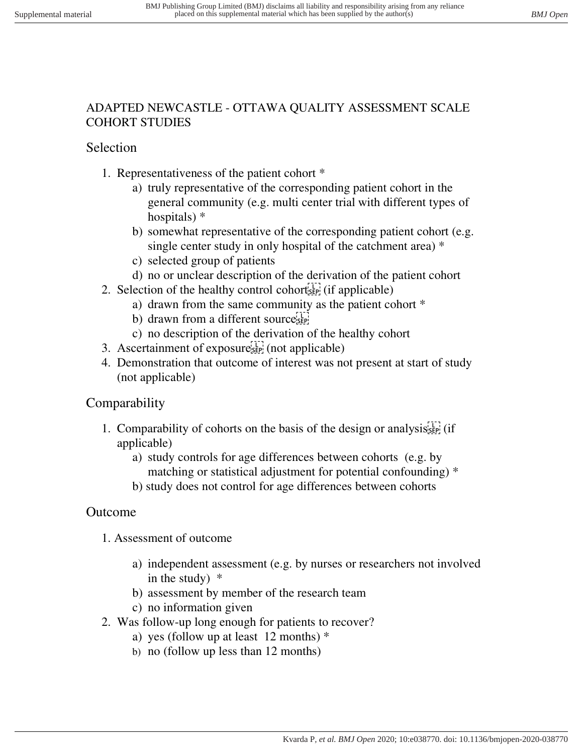## ADAPTED NEWCASTLE - OTTAWA QUALITY ASSESSMENT SCALE COHORT STUDIES

## Selection

- 1. Representativeness of the patient cohort \*
	- a) truly representative of the corresponding patient cohort in the general community (e.g. multi center trial with different types of hospitals) \*
	- b) somewhat representative of the corresponding patient cohort (e.g. single center study in only hospital of the catchment area) \*
	- c) selected group of patients
	- d) no or unclear description of the derivation of the patient cohort
- 2. Selection of the healthy control cohort $\frac{1}{2}$  (if applicable)
	- a) drawn from the same community as the patient cohort \*
	- b) drawn from a different source  $s_{\text{SEP}}$
	- c) no description of the derivation of the healthy cohort
- 3. Ascertainment of exposure $\mathbb{E}[\mathbb{I}]$  (not applicable)
- 4. Demonstration that outcome of interest was not present at start of study (not applicable)

## Comparability

- 1. Comparability of cohorts on the basis of the design or analysis  $\sum_{s=1}^{n}$  (if applicable)
	- a) study controls for age differences between cohorts (e.g. by matching or statistical adjustment for potential confounding) \*
	- b) study does not control for age differences between cohorts

## Outcome

- 1. Assessment of outcome
	- a) independent assessment (e.g. by nurses or researchers not involved in the study)  $*$
	- b) assessment by member of the research team
	- c) no information given
- 2. Was follow-up long enough for patients to recover?
	- a) yes (follow up at least  $12$  months)  $*$
	- b) no (follow up less than 12 months)